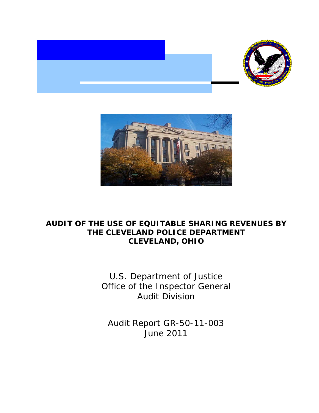



# **AUDIT OF THE USE OF EQUITABLE SHARING REVENUES BY THE CLEVELAND POLICE DEPARTMENT CLEVELAND, OHIO**

 Office of the Inspector General U.S. Department of Justice Audit Division

 Audit Report GR-50-11-003 June 2011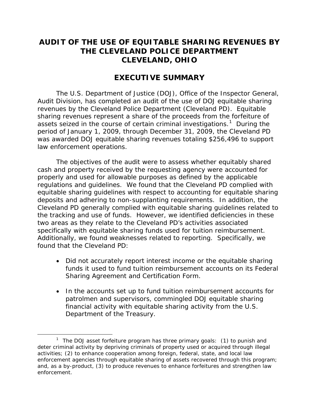# **AUDIT OF THE USE OF EQUITABLE SHARING REVENUES BY THE CLEVELAND POLICE DEPARTMENT CLEVELAND, OHIO**

## **EXECUTIVE SUMMARY**

assets seized in the course of certain criminal investigations.<sup>[1](#page-1-0)</sup> During the period of January 1, 2009, through December 31, 2009, the Cleveland PD The U.S. Department of Justice (DOJ), Office of the Inspector General, Audit Division, has completed an audit of the use of DOJ equitable sharing revenues by the Cleveland Police Department (Cleveland PD). Equitable sharing revenues represent a share of the proceeds from the forfeiture of was awarded DOJ equitable sharing revenues totaling \$256,496 to support law enforcement operations.

 regulations and guidelines. We found that the Cleveland PD complied with deposits and adhering to non-supplanting requirements. In addition, the the tracking and use of funds. However, we identified deficiencies in these specifically with equitable sharing funds used for tuition reimbursement. found that the Cleveland PD: The objectives of the audit were to assess whether equitably shared cash and property received by the requesting agency were accounted for properly and used for allowable purposes as defined by the applicable equitable sharing guidelines with respect to accounting for equitable sharing Cleveland PD generally complied with equitable sharing guidelines related to two areas as they relate to the Cleveland PD's activities associated Additionally, we found weaknesses related to reporting. Specifically, we

- funds it used to fund tuition reimbursement accounts on its Federal Sharing Agreement and Certification Form. • Did not accurately report interest income or the equitable sharing
- In the accounts set up to fund tuition reimbursement accounts for patrolmen and supervisors, commingled DOJ equitable sharing financial activity with equitable sharing activity from the U.S. Department of the Treasury.

 $\overline{a}$ 

<span id="page-1-0"></span><sup>&</sup>lt;sup>1</sup> The DOJ asset forfeiture program has three primary goals: (1) to punish and deter criminal activity by depriving criminals of property used or acquired through illegal activities; (2) to enhance cooperation among foreign, federal, state, and local law enforcement agencies through equitable sharing of assets recovered through this program; and, as a by-product, (3) to produce revenues to enhance forfeitures and strengthen law enforcement.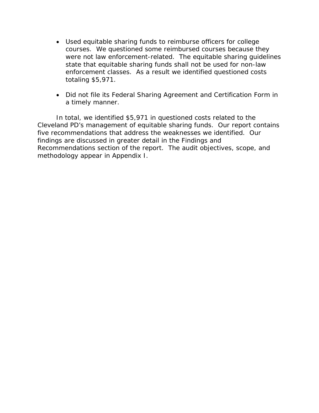- enforcement classes. As a result we identified questioned costs • Used equitable sharing funds to reimburse officers for college courses. We questioned some reimbursed courses because they were not law enforcement-related. The equitable sharing guidelines state that equitable sharing funds shall not be used for non-law totaling \$5,971.
- Did not file its Federal Sharing Agreement and Certification Form in a timely manner.

 In total, we identified \$5,971 in questioned costs related to the Cleveland PD's management of equitable sharing funds. Our report contains five recommendations that address the weaknesses we identified. Our findings are discussed in greater detail in the Findings and Recommendations section of the report. The audit objectives, scope, and methodology appear in Appendix I.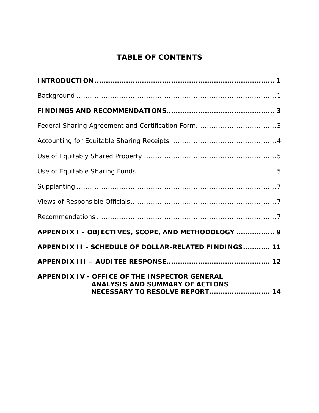# **TABLE OF CONTENTS**

| APPENDIX I - OBJECTIVES, SCOPE, AND METHODOLOGY  9                                                                                      |
|-----------------------------------------------------------------------------------------------------------------------------------------|
| APPENDIX II - SCHEDULE OF DOLLAR-RELATED FINDINGS 11                                                                                    |
|                                                                                                                                         |
| <b>APPENDIX IV - OFFICE OF THE INSPECTOR GENERAL</b><br><b>ANALYSIS AND SUMMARY OF ACTIONS</b><br><b>NECESSARY TO RESOLVE REPORT 14</b> |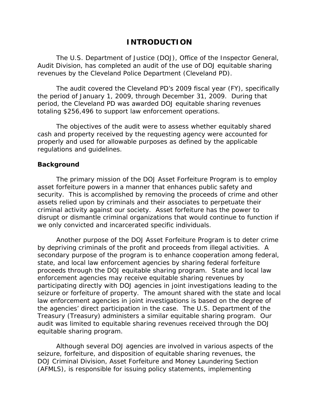## **INTRODUCTION**

 revenues by the Cleveland Police Department (Cleveland PD). The U.S. Department of Justice (DOJ), Office of the Inspector General, Audit Division, has completed an audit of the use of DOJ equitable sharing

 the period of January 1, 2009, through December 31, 2009. During that period, the Cleveland PD was awarded DOJ equitable sharing revenues totaling \$256,496 to support law enforcement operations. The audit covered the Cleveland PD's 2009 fiscal year (FY), specifically

 regulations and guidelines. The objectives of the audit were to assess whether equitably shared cash and property received by the requesting agency were accounted for properly and used for allowable purposes as defined by the applicable

#### **Background**

 criminal activity against our society. Asset forfeiture has the power to The primary mission of the DOJ Asset Forfeiture Program is to employ asset forfeiture powers in a manner that enhances public safety and security. This is accomplished by removing the proceeds of crime and other assets relied upon by criminals and their associates to perpetuate their disrupt or dismantle criminal organizations that would continue to function if we only convicted and incarcerated specific individuals.

 participating directly with DOJ agencies in joint investigations leading to the the agencies' direct participation in the case. The U.S. Department of the Treasury (Treasury) administers a similar equitable sharing program. Our Another purpose of the DOJ Asset Forfeiture Program is to deter crime by depriving criminals of the profit and proceeds from illegal activities. A secondary purpose of the program is to enhance cooperation among federal, state, and local law enforcement agencies by sharing federal forfeiture proceeds through the DOJ equitable sharing program. State and local law enforcement agencies may receive equitable sharing revenues by seizure or forfeiture of property. The amount shared with the state and local law enforcement agencies in joint investigations is based on the degree of audit was limited to equitable sharing revenues received through the DOJ equitable sharing program.

Although several DOJ agencies are involved in various aspects of the seizure, forfeiture, and disposition of equitable sharing revenues, the DOJ Criminal Division, Asset Forfeiture and Money Laundering Section (AFMLS), is responsible for issuing policy statements, implementing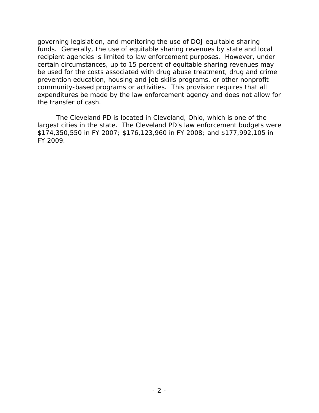funds. Generally, the use of equitable sharing revenues by state and local governing legislation, and monitoring the use of DOJ equitable sharing recipient agencies is limited to law enforcement purposes. However, under certain circumstances, up to 15 percent of equitable sharing revenues may be used for the costs associated with drug abuse treatment, drug and crime prevention education, housing and job skills programs, or other nonprofit community-based programs or activities. This provision requires that all expenditures be made by the law enforcement agency and does not allow for the transfer of cash.

 The Cleveland PD is located in Cleveland, Ohio, which is one of the FY 2009. largest cities in the state. The Cleveland PD's law enforcement budgets were \$174,350,550 in FY 2007; \$176,123,960 in FY 2008; and \$177,992,105 in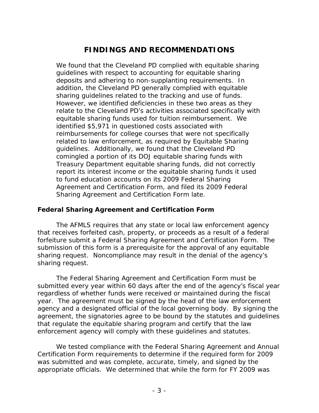# **FINDINGS AND RECOMMENDATIONS**

sharing guidelines related to the tracking and use of funds. equitable sharing funds used for tuition reimbursement. We reimbursements for college courses that were not specifically guidelines. Additionally, we found that the Cleveland PD We found that the Cleveland PD complied with equitable sharing guidelines with respect to accounting for equitable sharing deposits and adhering to non-supplanting requirements. In addition, the Cleveland PD generally complied with equitable However, we identified deficiencies in these two areas as they relate to the Cleveland PD's activities associated specifically with identified \$5,971 in questioned costs associated with related to law enforcement, as required by Equitable Sharing comingled a portion of its DOJ equitable sharing funds with Treasury Department equitable sharing funds, did not correctly report its interest income or the equitable sharing funds it used to fund education accounts on its 2009 Federal Sharing Agreement and Certification Form, and filed its 2009 Federal Sharing Agreement and Certification Form late.

### **Federal Sharing Agreement and Certification Form**

 forfeiture submit a Federal Sharing Agreement and Certification Form. The sharing request. The AFMLS requires that any state or local law enforcement agency that receives forfeited cash, property, or proceeds as a result of a federal submission of this form is a prerequisite for the approval of any equitable sharing request. Noncompliance may result in the denial of the agency's

 agency and a designated official of the local governing body. By signing the enforcement agency will comply with these guidelines and statutes. The Federal Sharing Agreement and Certification Form must be submitted every year within 60 days after the end of the agency's fiscal year regardless of whether funds were received or maintained during the fiscal year. The agreement must be signed by the head of the law enforcement agreement, the signatories agree to be bound by the statutes and guidelines that regulate the equitable sharing program and certify that the law

We tested compliance with the Federal Sharing Agreement and Annual Certification Form requirements to determine if the required form for 2009 was submitted and was complete, accurate, timely, and signed by the appropriate officials. We determined that while the form for FY 2009 was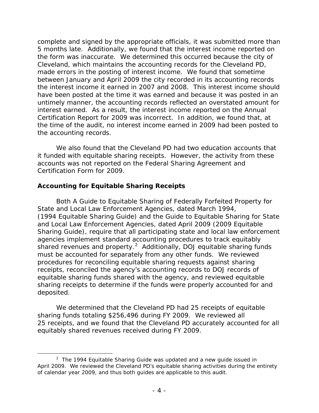5 months late. Additionally, we found that the interest income reported on the form was inaccurate. We determined this occurred because the city of complete and signed by the appropriate officials, it was submitted more than Cleveland, which maintains the accounting records for the Cleveland PD, made errors in the posting of interest income. We found that sometime between January and April 2009 the city recorded in its accounting records the interest income it earned in 2007 and 2008. This interest income should have been posted at the time it was earned and because it was posted in an untimely manner, the accounting records reflected an overstated amount for interest earned. As a result, the interest income reported on the Annual Certification Report for 2009 was incorrect. In addition, we found that, at the time of the audit, no interest income earned in 2009 had been posted to the accounting records.

 Certification Form for 2009. We also found that the Cleveland PD had two education accounts that it funded with equitable sharing receipts. However, the activity from these accounts was not reported on the Federal Sharing Agreement and

## **Accounting for Equitable Sharing Receipts**

 $\overline{a}$ 

 (1994 Equitable Sharing Guide) and the *Guide to Equitable Sharing for State*  shared revenues and property.<sup>[2](#page-7-0)</sup> Additionally, DOJ equitable sharing funds must be accounted for separately from any other funds. We reviewed Both *A Guide to Equitable Sharing of Federally Forfeited Property for State and Local Law Enforcement Agencies,* dated March 1994, *and Local Law Enforcement Agencies*, dated April 2009 (2009 Equitable Sharing Guide), require that all participating state and local law enforcement agencies implement standard accounting procedures to track equitably procedures for reconciling equitable sharing requests against sharing receipts, reconciled the agency's accounting records to DOJ records of equitable sharing funds shared with the agency, and reviewed equitable sharing receipts to determine if the funds were properly accounted for and deposited.

 We determined that the Cleveland PD had 25 receipts of equitable 25 receipts, and we found that the Cleveland PD accurately accounted for all equitably shared revenues received during FY 2009. sharing funds totaling \$256,496 during FY 2009. We reviewed all

<span id="page-7-0"></span> 2 The *1994 Equitable Sharing Guide* was updated and a new guide issued in April 2009. We reviewed the Cleveland PD's equitable sharing activities during the entirety of calendar year 2009, and thus both guides are applicable to this audit.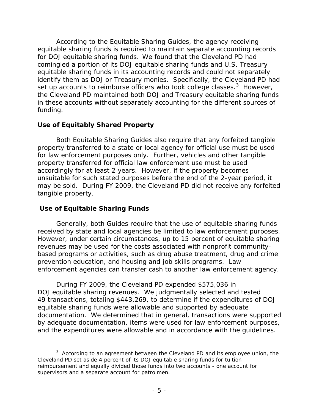for DOJ equitable sharing funds. We found that the Cleveland PD had set up accounts to reimburse officers who took college classes. $3$  However, funding. According to the Equitable Sharing Guides, the agency receiving equitable sharing funds is required to maintain separate accounting records comingled a portion of its DOJ equitable sharing funds and U.S. Treasury equitable sharing funds in its accounting records and could not separately identify them as DOJ or Treasury monies. Specifically, the Cleveland PD had the Cleveland PD maintained both DOJ and Treasury equitable sharing funds in these accounts without separately accounting for the different sources of

## **Use of Equitably Shared Property**

 may be sold. During FY 2009, the Cleveland PD did not receive any forfeited Both Equitable Sharing Guides also require that any forfeited tangible property transferred to a state or local agency for official use must be used for law enforcement purposes only. Further, vehicles and other tangible property transferred for official law enforcement use must be used accordingly for at least 2 years. However, if the property becomes unsuitable for such stated purposes before the end of the 2-year period, it tangible property.

## **Use of Equitable Sharing Funds**

Generally, both Guides require that the use of equitable sharing funds received by state and local agencies be limited to law enforcement purposes. However, under certain circumstances, up to 15 percent of equitable sharing revenues may be used for the costs associated with nonprofit communitybased programs or activities, such as drug abuse treatment, drug and crime prevention education, and housing and job skills programs. Law enforcement agencies can transfer cash to another law enforcement agency.

 During FY 2009, the Cleveland PD expended \$575,036 in DOJ equitable sharing revenues. We judgmentally selected and tested 49 transactions, totaling \$443,269, to determine if the expenditures of DOJ equitable sharing funds were allowable and supported by adequate documentation. We determined that in general, transactions were supported by adequate documentation, items were used for law enforcement purposes, and the expenditures were allowable and in accordance with the guidelines.

<span id="page-8-0"></span> $\overline{a}$  $3$  According to an agreement between the Cleveland PD and its employee union, the Cleveland PD set aside 4 percent of its DOJ equitable sharing funds for tuition reimbursement and equally divided those funds into two accounts - one account for supervisors and a separate account for patrolmen.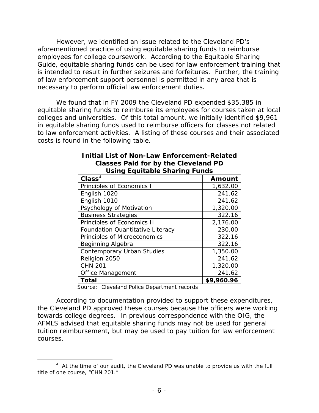employees for college coursework. According to the Equitable Sharing is intended to result in further seizures and forfeitures. Further, the training necessary to perform official law enforcement duties. However, we identified an issue related to the Cleveland PD's aforementioned practice of using equitable sharing funds to reimburse Guide*,* equitable sharing funds can be used for law enforcement training that of law enforcement support personnel is permitted in any area that is

 necessary to perform official law enforcement duties. We found that in FY 2009 the Cleveland PD expended \$35,385 in colleges and universities. Of this total amount, we initially identified \$9,961 equitable sharing funds to reimburse its employees for courses taken at local in equitable sharing funds used to reimburse officers for classes not related to law enforcement activities. A listing of these courses and their associated costs is found in the following table.

| $\mathbf{Class}^4$                      | Amount     |
|-----------------------------------------|------------|
| Principles of Economics I               | 1,632.00   |
| English 1020                            | 241.62     |
| English 1010                            | 241.62     |
| Psychology of Motivation                | 1,320.00   |
| <b>Business Strategies</b>              | 322.16     |
| Principles of Economics II              | 2,176.00   |
| <b>Foundation Quantitative Literacy</b> | 230.00     |
| Principles of Microeconomics            | 322.16     |
| Beginning Algebra                       | 322.16     |
| <b>Contemporary Urban Studies</b>       | 1,350.00   |
| Religion 2050                           | 241.62     |
| <b>CHN 201</b>                          | 1,320.00   |
| <b>Office Management</b>                | 241.62     |
| <b>Total</b>                            | \$9,960.96 |

#### **Classes Paid for by the Cleveland PD Initial List of Non-Law Enforcement-Related Using Equitable Sharing Funds**

Source: Cleveland Police Department records

 $\overline{a}$ 

 towards college degrees. In previous correspondence with the OIG, the tuition reimbursement, but may be used to pay tuition for law enforcement courses. courses.<br>
4 At the time of our audit, the Cleveland PD was unable to provide us with the full<br>
<sup>4</sup> At the time of our audit, the Cleveland PD was unable to provide us with the full According to documentation provided to support these expenditures, the Cleveland PD approved these courses because the officers were working AFMLS advised that equitable sharing funds may not be used for general

<span id="page-9-0"></span> title of one course, "CHN 201."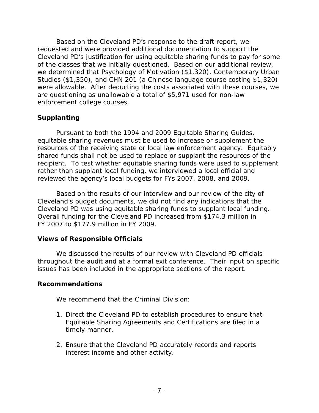Based on the Cleveland PD's response to the draft report, we requested and were provided additional documentation to support the Cleveland PD's justification for using equitable sharing funds to pay for some of the classes that we initially questioned. Based on our additional review, we determined that Psychology of Motivation (\$1,320), Contemporary Urban Studies (\$1,350), and CHN 201 (a Chinese language course costing \$1,320) were allowable. After deducting the costs associated with these courses, we are questioning as unallowable a total of \$5,971 used for non-law enforcement college courses.

## **Supplanting**

Pursuant to both the 1994 and 2009 Equitable Sharing Guides, equitable sharing revenues must be used to increase or supplement the resources of the receiving state or local law enforcement agency. Equitably shared funds shall not be used to replace or supplant the resources of the recipient. To test whether equitable sharing funds were used to supplement rather than supplant local funding, we interviewed a local official and reviewed the agency's local budgets for FYs 2007, 2008, and 2009.

 Cleveland PD was using equitable sharing funds to supplant local funding. Overall funding for the Cleveland PD increased from \$174.3 million in Based on the results of our interview and our review of the city of Cleveland's budget documents, we did not find any indications that the FY 2007 to \$177.9 million in FY 2009.

## **Views of Responsible Officials**

 We discussed the results of our review with Cleveland PD officials issues has been included in the appropriate sections of the report. throughout the audit and at a formal exit conference. Their input on specific

### **Recommendations**

We recommend that the Criminal Division:

- 1. Direct the Cleveland PD to establish procedures to ensure that Equitable Sharing Agreements and Certifications are filed in a timely manner.
- 2. Ensure that the Cleveland PD accurately records and reports interest income and other activity.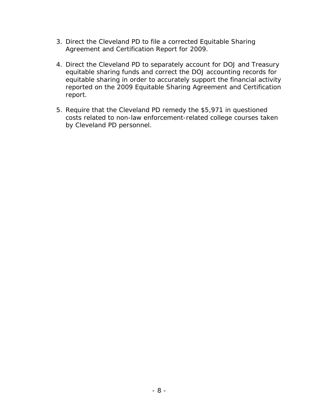- 3. Direct the Cleveland PD to file a corrected Equitable Sharing Agreement and Certification Report for 2009.
- equitable sharing in order to accurately support the financial activity 4. Direct the Cleveland PD to separately account for DOJ and Treasury equitable sharing funds and correct the DOJ accounting records for reported on the 2009 Equitable Sharing Agreement and Certification report.
- 5. Require that the Cleveland PD remedy the \$5,971 in questioned costs related to non-law enforcement-related college courses taken by Cleveland PD personnel.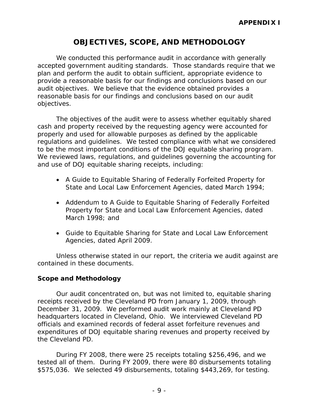# **OBJECTIVES, SCOPE, AND METHODOLOGY**

 audit objectives. We believe that the evidence obtained provides a reasonable basis for our findings and conclusions based on our audit We conducted this performance audit in accordance with generally accepted government auditing standards. Those standards require that we plan and perform the audit to obtain sufficient, appropriate evidence to provide a reasonable basis for our findings and conclusions based on our objectives.

to be the most important conditions of the DOJ equitable sharing program. The objectives of the audit were to assess whether equitably shared cash and property received by the requesting agency were accounted for properly and used for allowable purposes as defined by the applicable regulations and guidelines. We tested compliance with what we considered We reviewed laws, regulations, and guidelines governing the accounting for and use of DOJ equitable sharing receipts, including:

- • *A Guide to Equitable Sharing of Federally Forfeited Property for State and Local Law Enforcement Agencies*, dated March 1994;
- March 1998; and • *Addendum to A Guide to Equitable Sharing of Federally Forfeited Property for State and Local Law Enforcement Agencies*, dated
- • *Guide to Equitable Sharing for State and Local Law Enforcement*  Agencies, dated April 2009.

Unless otherwise stated in our report, the criteria we audit against are contained in these documents.

#### **Scope and Methodology**

 December 31, 2009. We performed audit work mainly at Cleveland PD the Cleveland PD. Our audit concentrated on, but was not limited to, equitable sharing receipts received by the Cleveland PD from January 1, 2009, through headquarters located in Cleveland, Ohio. We interviewed Cleveland PD officials and examined records of federal asset forfeiture revenues and expenditures of DOJ equitable sharing revenues and property received by

During FY 2008, there were 25 receipts totaling \$256,496, and we tested all of them. During FY 2009, there were 80 disbursements totaling \$575,036. We selected 49 disbursements, totaling \$443,269, for testing.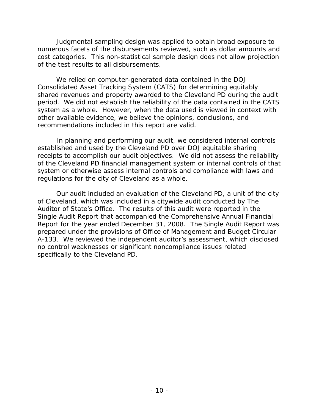cost categories. This non-statistical sample design does not allow projection Judgmental sampling design was applied to obtain broad exposure to numerous facets of the disbursements reviewed, such as dollar amounts and of the test results to all disbursements.

 We relied on computer-generated data contained in the DOJ recommendations included in this report are valid. Consolidated Asset Tracking System (CATS) for determining equitably shared revenues and property awarded to the Cleveland PD during the audit period. We did not establish the reliability of the data contained in the CATS system as a whole. However, when the data used is viewed in context with other available evidence, we believe the opinions, conclusions, and

 established and used by the Cleveland PD over DOJ equitable sharing regulations for the city of Cleveland as a whole. In planning and performing our audit, we considered internal controls receipts to accomplish our audit objectives. We did not assess the reliability of the Cleveland PD financial management system or internal controls of that system or otherwise assess internal controls and compliance with laws and

 no control weaknesses or significant noncompliance issues related Our audit included an evaluation of the Cleveland PD, a unit of the city of Cleveland, which was included in a citywide audit conducted by The Auditor of State's Office. The results of this audit were reported in the Single Audit Report that accompanied the Comprehensive Annual Financial Report for the year ended December 31, 2008. The Single Audit Report was prepared under the provisions of Office of Management and Budget Circular A-133. We reviewed the independent auditor's assessment, which disclosed specifically to the Cleveland PD.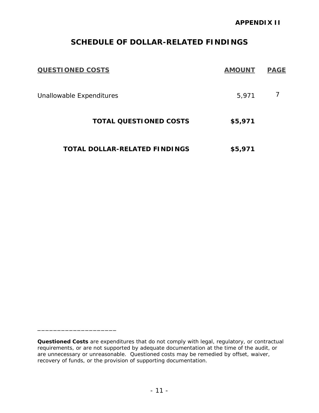# **SCHEDULE OF DOLLAR-RELATED FINDINGS**

| <b>QUESTIONED COSTS</b>              | <b>AMOUNT</b> | <b>PAGE</b> |
|--------------------------------------|---------------|-------------|
| Unallowable Expenditures             | 5,971         |             |
| <b>TOTAL QUESTIONED COSTS</b>        | \$5,971       |             |
| <b>TOTAL DOLLAR-RELATED FINDINGS</b> | \$5,971       |             |

\_\_\_\_\_\_\_\_\_\_\_\_\_\_\_\_\_\_\_\_

 *Questioned Costs* are expenditures that do not comply with legal, regulatory, or contractual requirements, or are not supported by adequate documentation at the time of the audit, or are unnecessary or unreasonable. Questioned costs may be remedied by offset, waiver, recovery of funds, or the provision of supporting documentation.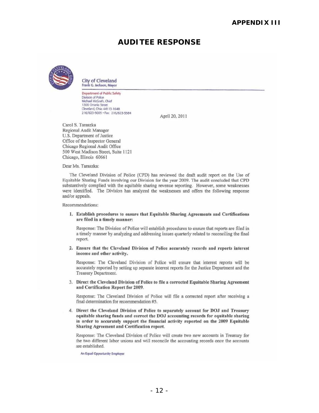# **AUDITEE RESPONSE**



City of Cleveland<br>Frank G. Jackson, Mayor Frank G. Jackson, Mayor<br>Department of Public Safety

n<br>Division of Police<br>Michael McGrath, Chief<br>1300 Ontario Street Cleveland, Ohio 44113-1648 216/623-5005 · Fax: 216/623-5584

Apri120,2011

Carol S. Taraszka Regional Audit Manager U.S. Department of Justice Officc of the Inspector General Chicago Regional Audit Office 500 West Madison Street, Suite 1121 Chicago, Illinois 60661

Dear Ms. Taraszka:

The Cleveland Division of Police (CPO) has reviewed the draft audit repon on the Use of Equitable Sharing Funds involving our Division for the year 2009. The audit concluded that CPD substantively complied with the equitable sharing revenue reporting. However, some weaknesses were identified. The Division has analyzed the weaknesses and offers the following response and/or appeals.

Recommendations:

1. Establish procedures to ensure that Equitable Sharing Agreements and Certifications are filed in a timely manner:

Response: The Division of Police will establish procedures to ensure thai reports are filed in a timely manner by analyzing and addressing issues quarterly related to reconciling the fmal report.

2. Ensure that the Cleveland Division of Police accurately records and reports interest income and otber activity.

Response: The Cleveland Division of Police will ensure that interest reports will be accurately reported by setting up separate interest reports for the Justice Department and the Treasury Department.

3. Direct the Cleveland Division of Police to file a corrected Equitable Sharing Agreement and Certification Report for 2009.

Response: The Cleveland Division of Police will file a corrected report after receiving a final determination for recommendation #5.

4. Direct the Cleveland Division of Police to separately account for DOJ and Treasury equitable sharing funds and correct the DOJ accounting records for equitable sharing in order to accurately support tbe financial activity reported on the 2009 Equitable Sharing Agreement and Certification report.

Response: The Cleveland Division of Police will create two new accounts in Treasury for the two different labor unions and will reconcile the accounting records once the accounts are established.

An Equal Opportunity Employer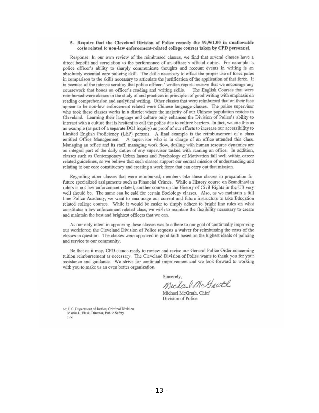#### 5. Require that the Cleveland Division of Police remedy the \$9,961.00 in unallowable costs related to non-law enforcement-related college courses taken by CPD personnel.

Response: In our own review of the reimbursed classes, we find that several classes have a direct benefit and correlation to the performance of an officer's official duties. For example: a police officer's ability to sharply conununicate thoughts and recount events in writing is an absolutely essential core policing skill. The skills necessary to effect the proper use of force pales in comparison to the skills necessary to articulate the justification of the application of that force. It is because of the intense scrutiny that police officers' written reports receive that we encourage any coursework that hones an officer's reading and writing skills. The English Courses that were coursework that hones an officer's reading and writing skills. reimbursed were classes in the study of and practices in principles of good writing with emphasis on reading comprehension and analytical writing. Other classes that were reimbursed that on their face appear to be non-law enforcement related were Chinese language classes. The police supervisor who took these classes works in a district where the majority of our Chinese population resides in Cleveland. Learning their language and culture only enhances the Division of Police's ability to interact with a culture that is hesitant to call the police due to culture barriers. In fact, we cite this as an example (as part of a separate DOJ inquiry) as proof of our efforts to increase our accessibility to Limited English Proficiency (LEP) persons. A final example is the reimbursement of a class entitled Office Management. A supervisor who is in charge of an office attended this class. Managing an office and its staff, managing work flow, dealing with human resource dynamics are an integral part of the daily duties of any supervisor tasked with running an office. In addition, classes such as Contemporary Urban Issues and Psychology of Motivation fall well within career related guidelines, as we believe that such classes support our central mission of understanding and relating to our core constituency and creating a work force that can carry out that mission.

Regarding other classes that were reimbursed. members take these classes in preparation for future specialized assignments such as Financial Crimes. While a History course on Scandinavian rulers is not law enforcement related, another course on the History of Civil Rights in the US very well should be. The same can be said for certain Sociology classes. Also, as we maintain a full time Police Academy, we want to encourage our current and future instructors to take Education related college courses. While it would be easier to simply adhere to bright line rules on what constitutes a law enforcement related class, we wish to maintain the flexibility necessary to create and maintain the best and brightest officers that we can.

As our only intent in approving these classes was to adhere to our goal of continually improving our workforce; the Cleveland Division of Police requests a waiver for reimbursing the costs of the classes in question. The classes were approved in good faith based on the highest ideals of policing and service to our community.

Be that as it may, CPO stands ready to review and revise our General Police Order concerning tuition reimbursement as necessary. The Cleveland Division of Police wants to thank you for your assistance and guidance. We strive for continual improvement and we look forward to working with you to make us an even better organization.

Sincerely,

Michael Mc Geath

Michael McGrath, Chief Division of Police

cc: U.S. Department of Justice, Criminal Division Martin L. Flask, Director, Public Safety File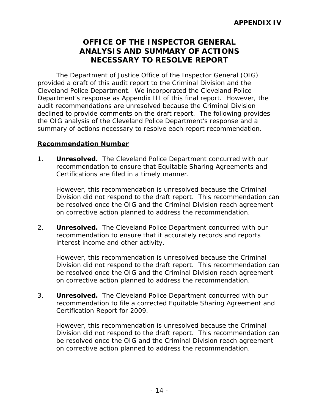# **OFFICE OF THE INSPECTOR GENERAL ANALYSIS AND SUMMARY OF ACTIONS NECESSARY TO RESOLVE REPORT**

The Department of Justice Office of the Inspector General (OIG) provided a draft of this audit report to the Criminal Division and the Cleveland Police Department. We incorporated the Cleveland Police Department's response as Appendix III of this final report. However, the audit recommendations are unresolved because the Criminal Division declined to provide comments on the draft report. The following provides the OIG analysis of the Cleveland Police Department's response and a summary of actions necessary to resolve each report recommendation.

### **Recommendation Number**

 $1<sup>1</sup>$ **Unresolved.** The Cleveland Police Department concurred with our recommendation to ensure that Equitable Sharing Agreements and Certifications are filed in a timely manner.

 However, this recommendation is unresolved because the Criminal on corrective action planned to address the recommendation. Division did not respond to the draft report. This recommendation can be resolved once the OIG and the Criminal Division reach agreement

2. **Unresolved.** The Cleveland Police Department concurred with our recommendation to ensure that it accurately records and reports interest income and other activity.

 However, this recommendation is unresolved because the Criminal Division did not respond to the draft report. This recommendation can be resolved once the OIG and the Criminal Division reach agreement on corrective action planned to address the recommendation.

 3. **Unresolved.** The Cleveland Police Department concurred with our recommendation to file a corrected Equitable Sharing Agreement and Certification Report for 2009.

 However, this recommendation is unresolved because the Criminal Division did not respond to the draft report. This recommendation can be resolved once the OIG and the Criminal Division reach agreement on corrective action planned to address the recommendation.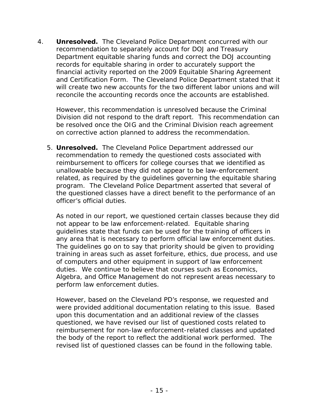4. **Unresolved.** The Cleveland Police Department concurred with our recommendation to separately account for DOJ and Treasury Department equitable sharing funds and correct the DOJ accounting records for equitable sharing in order to accurately support the financial activity reported on the 2009 Equitable Sharing Agreement and Certification Form. The Cleveland Police Department stated that it will create two new accounts for the two different labor unions and will reconcile the accounting records once the accounts are established.

 However, this recommendation is unresolved because the Criminal Division did not respond to the draft report. This recommendation can be resolved once the OIG and the Criminal Division reach agreement on corrective action planned to address the recommendation.

 5. **Unresolved.** The Cleveland Police Department addressed our recommendation to remedy the questioned costs associated with reimbursement to officers for college courses that we identified as unallowable because they did not appear to be law-enforcement related, as required by the guidelines governing the equitable sharing program. The Cleveland Police Department asserted that several of the questioned classes have a direct benefit to the performance of an officer's official duties.

any area that is necessary to perform official law enforcement duties. perform law enforcement duties. As noted in our report, we questioned certain classes because they did not appear to be law enforcement-related. Equitable sharing guidelines state that funds can be used for the training of officers in The guidelines go on to say that priority should be given to providing. training in areas such as asset forfeiture, ethics, due process, and use of computers and other equipment in support of law enforcement duties. We continue to believe that courses such as Economics, Algebra, and Office Management do not represent areas necessary to

However, based on the Cleveland PD's response, we requested and were provided additional documentation relating to this issue. Based upon this documentation and an additional review of the classes questioned, we have revised our list of questioned costs related to reimbursement for non-law enforcement-related classes and updated the body of the report to reflect the additional work performed. The revised list of questioned classes can be found in the following table.